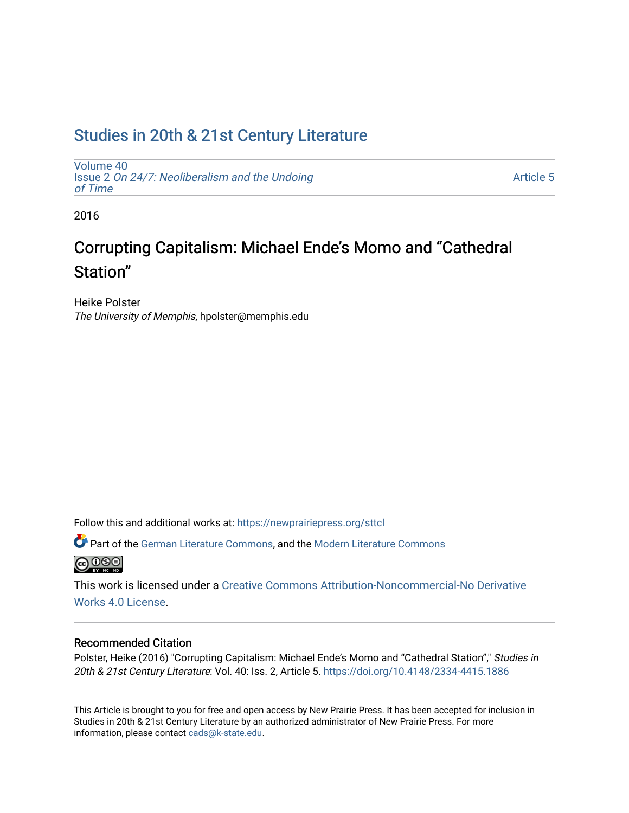## [Studies in 20th & 21st Century Literature](https://newprairiepress.org/sttcl)

[Volume 40](https://newprairiepress.org/sttcl/vol40) Issue 2 [On 24/7: Neoliberalism and the Undoing](https://newprairiepress.org/sttcl/vol40/iss2)  [of Time](https://newprairiepress.org/sttcl/vol40/iss2) 

[Article 5](https://newprairiepress.org/sttcl/vol40/iss2/5) 

2016

# Corrupting Capitalism: Michael Ende's Momo and "Cathedral Station"

Heike Polster The University of Memphis, hpolster@memphis.edu

Follow this and additional works at: [https://newprairiepress.org/sttcl](https://newprairiepress.org/sttcl?utm_source=newprairiepress.org%2Fsttcl%2Fvol40%2Fiss2%2F5&utm_medium=PDF&utm_campaign=PDFCoverPages) 

**Part of the [German Literature Commons,](http://network.bepress.com/hgg/discipline/469?utm_source=newprairiepress.org%2Fsttcl%2Fvol40%2Fiss2%2F5&utm_medium=PDF&utm_campaign=PDFCoverPages) and the Modern Literature Commons @** 000

This work is licensed under a [Creative Commons Attribution-Noncommercial-No Derivative](https://creativecommons.org/licenses/by-nc-nd/4.0/)  [Works 4.0 License](https://creativecommons.org/licenses/by-nc-nd/4.0/).

#### Recommended Citation

Polster, Heike (2016) "Corrupting Capitalism: Michael Ende's Momo and "Cathedral Station"," Studies in 20th & 21st Century Literature: Vol. 40: Iss. 2, Article 5. <https://doi.org/10.4148/2334-4415.1886>

This Article is brought to you for free and open access by New Prairie Press. It has been accepted for inclusion in Studies in 20th & 21st Century Literature by an authorized administrator of New Prairie Press. For more information, please contact [cads@k-state.edu](mailto:cads@k-state.edu).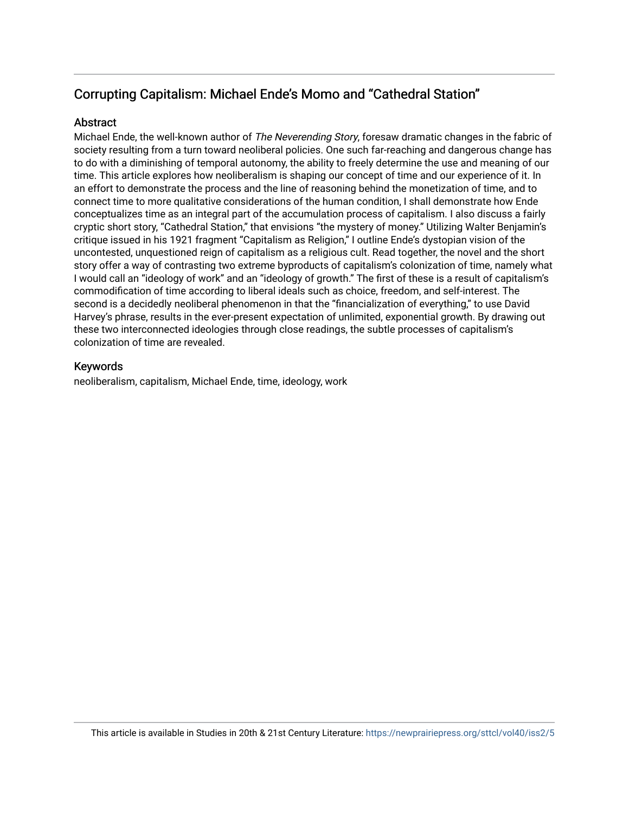### Corrupting Capitalism: Michael Ende's Momo and "Cathedral Station"

#### **Abstract**

Michael Ende, the well-known author of The Neverending Story, foresaw dramatic changes in the fabric of society resulting from a turn toward neoliberal policies. One such far-reaching and dangerous change has to do with a diminishing of temporal autonomy, the ability to freely determine the use and meaning of our time. This article explores how neoliberalism is shaping our concept of time and our experience of it. In an effort to demonstrate the process and the line of reasoning behind the monetization of time, and to connect time to more qualitative considerations of the human condition, I shall demonstrate how Ende conceptualizes time as an integral part of the accumulation process of capitalism. I also discuss a fairly cryptic short story, "Cathedral Station," that envisions "the mystery of money." Utilizing Walter Benjamin's critique issued in his 1921 fragment "Capitalism as Religion," I outline Ende's dystopian vision of the uncontested, unquestioned reign of capitalism as a religious cult. Read together, the novel and the short story offer a way of contrasting two extreme byproducts of capitalism's colonization of time, namely what I would call an "ideology of work" and an "ideology of growth." The first of these is a result of capitalism's commodification of time according to liberal ideals such as choice, freedom, and self-interest. The second is a decidedly neoliberal phenomenon in that the "financialization of everything," to use David Harvey's phrase, results in the ever-present expectation of unlimited, exponential growth. By drawing out these two interconnected ideologies through close readings, the subtle processes of capitalism's colonization of time are revealed.

#### Keywords

neoliberalism, capitalism, Michael Ende, time, ideology, work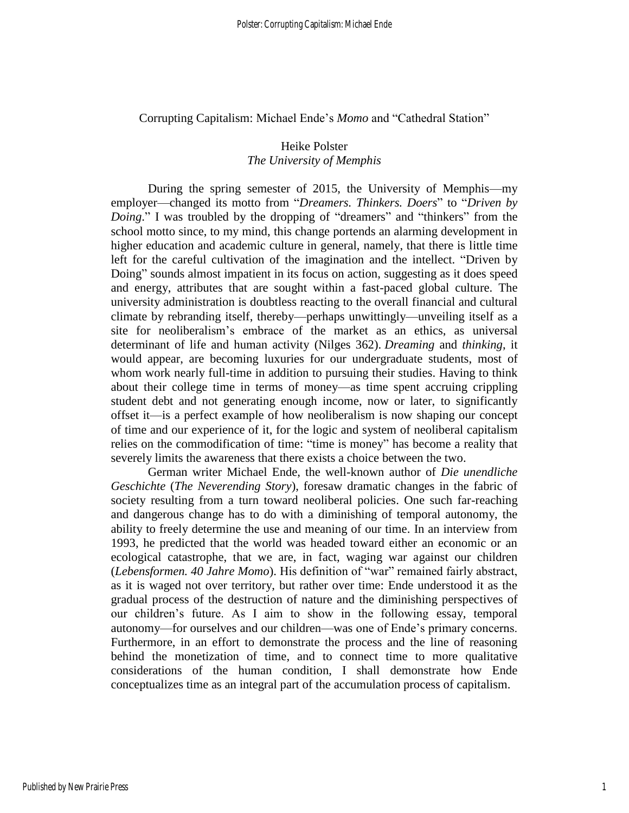Corrupting Capitalism: Michael Ende's *Momo* and "Cathedral Station"

#### Heike Polster *The University of Memphis*

During the spring semester of 2015, the University of Memphis—my employer—changed its motto from "*Dreamers. Thinkers. Doers*" to "*Driven by Doing*." I was troubled by the dropping of "dreamers" and "thinkers" from the school motto since, to my mind, this change portends an alarming development in higher education and academic culture in general, namely, that there is little time left for the careful cultivation of the imagination and the intellect. "Driven by Doing" sounds almost impatient in its focus on action, suggesting as it does speed and energy, attributes that are sought within a fast-paced global culture. The university administration is doubtless reacting to the overall financial and cultural climate by rebranding itself, thereby—perhaps unwittingly—unveiling itself as a site for neoliberalism's embrace of the market as an ethics, as universal determinant of life and human activity (Nilges 362). *Dreaming* and *thinking*, it would appear, are becoming luxuries for our undergraduate students, most of whom work nearly full-time in addition to pursuing their studies. Having to think about their college time in terms of money—as time spent accruing crippling student debt and not generating enough income, now or later, to significantly offset it—is a perfect example of how neoliberalism is now shaping our concept of time and our experience of it, for the logic and system of neoliberal capitalism relies on the commodification of time: "time is money" has become a reality that severely limits the awareness that there exists a choice between the two.

German writer Michael Ende, the well-known author of *Die unendliche Geschichte* (*The Neverending Story*), foresaw dramatic changes in the fabric of society resulting from a turn toward neoliberal policies. One such far-reaching and dangerous change has to do with a diminishing of temporal autonomy, the ability to freely determine the use and meaning of our time. In an interview from 1993, he predicted that the world was headed toward either an economic or an ecological catastrophe, that we are, in fact, waging war against our children (*Lebensformen. 40 Jahre Momo*). His definition of "war" remained fairly abstract, as it is waged not over territory, but rather over time: Ende understood it as the gradual process of the destruction of nature and the diminishing perspectives of our children's future. As I aim to show in the following essay, temporal autonomy—for ourselves and our children—was one of Ende's primary concerns. Furthermore, in an effort to demonstrate the process and the line of reasoning behind the monetization of time, and to connect time to more qualitative considerations of the human condition, I shall demonstrate how Ende conceptualizes time as an integral part of the accumulation process of capitalism.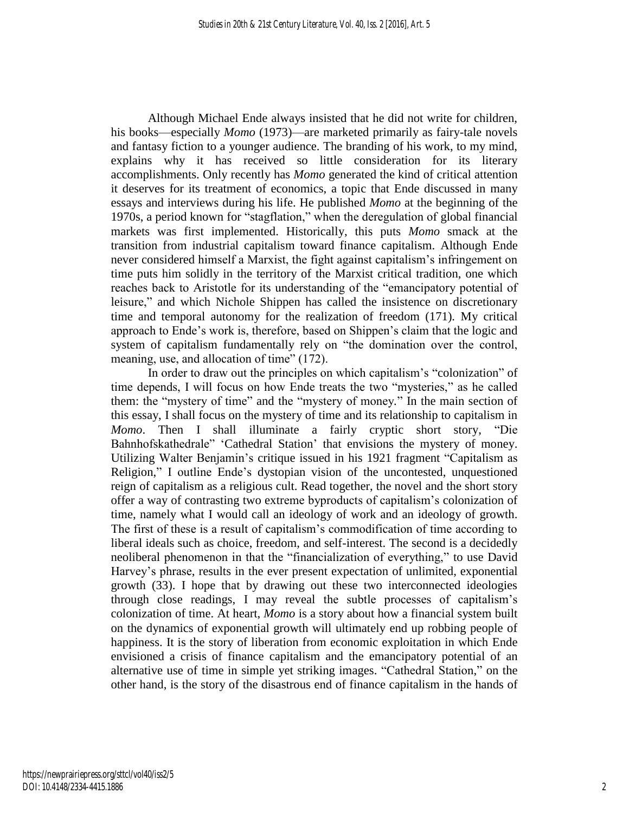Although Michael Ende always insisted that he did not write for children, his books—especially *Momo* (1973)—are marketed primarily as fairy-tale novels and fantasy fiction to a younger audience. The branding of his work, to my mind, explains why it has received so little consideration for its literary accomplishments. Only recently has *Momo* generated the kind of critical attention it deserves for its treatment of economics, a topic that Ende discussed in many essays and interviews during his life. He published *Momo* at the beginning of the 1970s, a period known for "stagflation," when the deregulation of global financial markets was first implemented. Historically, this puts *Momo* smack at the transition from industrial capitalism toward finance capitalism. Although Ende never considered himself a Marxist, the fight against capitalism's infringement on time puts him solidly in the territory of the Marxist critical tradition, one which reaches back to Aristotle for its understanding of the "emancipatory potential of leisure," and which Nichole Shippen has called the insistence on discretionary time and temporal autonomy for the realization of freedom (171). My critical approach to Ende's work is, therefore, based on Shippen's claim that the logic and system of capitalism fundamentally rely on "the domination over the control, meaning, use, and allocation of time" (172).

In order to draw out the principles on which capitalism's "colonization" of time depends, I will focus on how Ende treats the two "mysteries," as he called them: the "mystery of time" and the "mystery of money*.*" In the main section of this essay, I shall focus on the mystery of time and its relationship to capitalism in *Momo*. Then I shall illuminate a fairly cryptic short story, "Die Bahnhofskathedrale" 'Cathedral Station' that envisions the mystery of money. Utilizing Walter Benjamin's critique issued in his 1921 fragment "Capitalism as Religion," I outline Ende's dystopian vision of the uncontested, unquestioned reign of capitalism as a religious cult. Read together, the novel and the short story offer a way of contrasting two extreme byproducts of capitalism's colonization of time, namely what I would call an ideology of work and an ideology of growth. The first of these is a result of capitalism's commodification of time according to liberal ideals such as choice, freedom, and self-interest. The second is a decidedly neoliberal phenomenon in that the "financialization of everything," to use David Harvey's phrase, results in the ever present expectation of unlimited, exponential growth (33). I hope that by drawing out these two interconnected ideologies through close readings, I may reveal the subtle processes of capitalism's colonization of time. At heart, *Momo* is a story about how a financial system built on the dynamics of exponential growth will ultimately end up robbing people of happiness. It is the story of liberation from economic exploitation in which Ende envisioned a crisis of finance capitalism and the emancipatory potential of an alternative use of time in simple yet striking images. "Cathedral Station," on the other hand, is the story of the disastrous end of finance capitalism in the hands of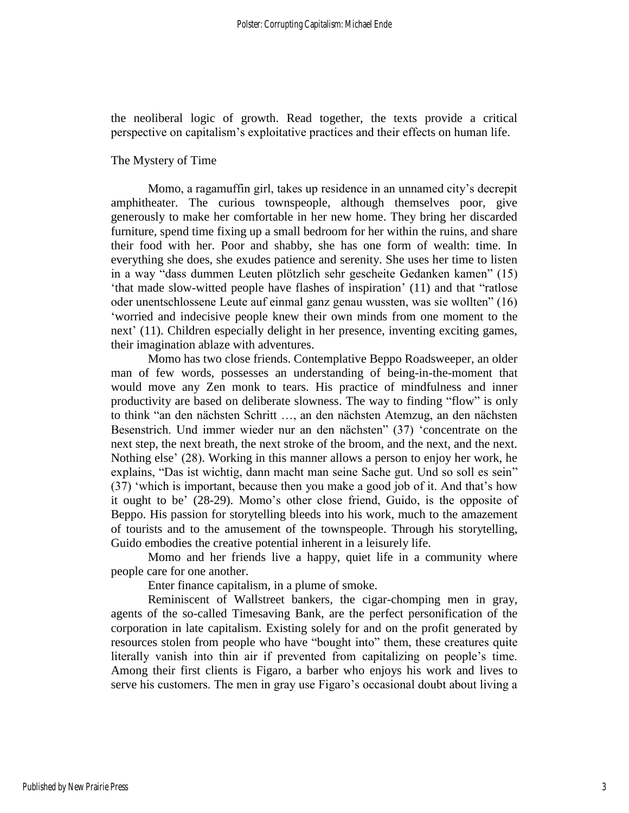the neoliberal logic of growth. Read together, the texts provide a critical perspective on capitalism's exploitative practices and their effects on human life.

#### The Mystery of Time

Momo, a ragamuffin girl, takes up residence in an unnamed city's decrepit amphitheater. The curious townspeople, although themselves poor, give generously to make her comfortable in her new home. They bring her discarded furniture, spend time fixing up a small bedroom for her within the ruins, and share their food with her. Poor and shabby, she has one form of wealth: time. In everything she does, she exudes patience and serenity. She uses her time to listen in a way "dass dummen Leuten plötzlich sehr gescheite Gedanken kamen" (15) 'that made slow-witted people have flashes of inspiration' (11) and that "ratlose oder unentschlossene Leute auf einmal ganz genau wussten, was sie wollten" (16) 'worried and indecisive people knew their own minds from one moment to the next' (11). Children especially delight in her presence, inventing exciting games, their imagination ablaze with adventures.

Momo has two close friends. Contemplative Beppo Roadsweeper, an older man of few words, possesses an understanding of being-in-the-moment that would move any Zen monk to tears. His practice of mindfulness and inner productivity are based on deliberate slowness. The way to finding "flow" is only to think "an den nächsten Schritt …, an den nächsten Atemzug, an den nächsten Besenstrich. Und immer wieder nur an den nächsten" (37) 'concentrate on the next step, the next breath, the next stroke of the broom, and the next, and the next. Nothing else' (28). Working in this manner allows a person to enjoy her work, he explains, "Das ist wichtig, dann macht man seine Sache gut. Und so soll es sein" (37) 'which is important, because then you make a good job of it. And that's how it ought to be' (28-29). Momo's other close friend, Guido, is the opposite of Beppo. His passion for storytelling bleeds into his work, much to the amazement of tourists and to the amusement of the townspeople. Through his storytelling, Guido embodies the creative potential inherent in a leisurely life.

Momo and her friends live a happy, quiet life in a community where people care for one another.

Enter finance capitalism, in a plume of smoke.

Reminiscent of Wallstreet bankers, the cigar-chomping men in gray, agents of the so-called Timesaving Bank, are the perfect personification of the corporation in late capitalism. Existing solely for and on the profit generated by resources stolen from people who have "bought into" them, these creatures quite literally vanish into thin air if prevented from capitalizing on people's time. Among their first clients is Figaro, a barber who enjoys his work and lives to serve his customers. The men in gray use Figaro's occasional doubt about living a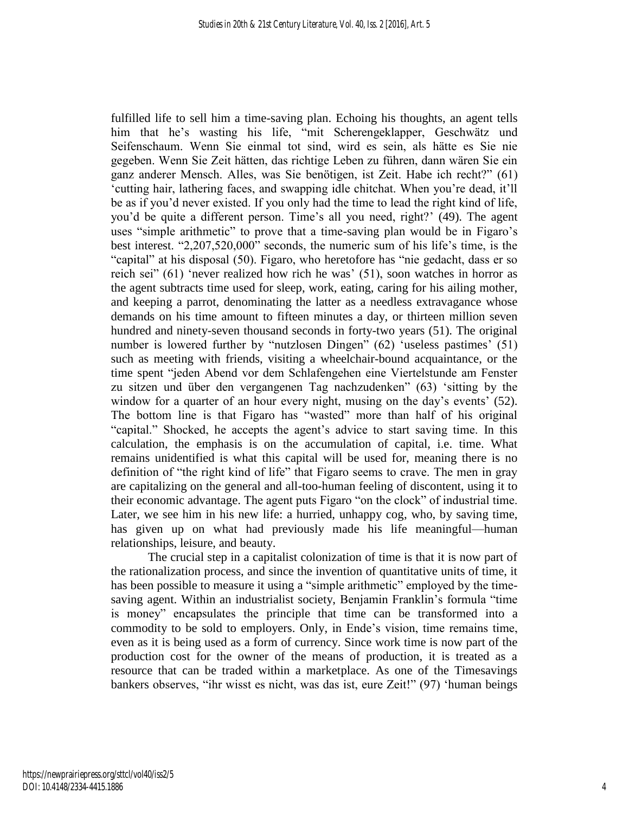fulfilled life to sell him a time-saving plan. Echoing his thoughts, an agent tells him that he's wasting his life, "mit Scherengeklapper, Geschwätz und Seifenschaum. Wenn Sie einmal tot sind, wird es sein, als hätte es Sie nie gegeben. Wenn Sie Zeit hätten, das richtige Leben zu führen, dann wären Sie ein ganz anderer Mensch. Alles, was Sie benötigen, ist Zeit. Habe ich recht?" (61) 'cutting hair, lathering faces, and swapping idle chitchat. When you're dead, it'll be as if you'd never existed. If you only had the time to lead the right kind of life, you'd be quite a different person. Time's all you need, right?' (49). The agent uses "simple arithmetic" to prove that a time-saving plan would be in Figaro's best interest. "2,207,520,000" seconds, the numeric sum of his life's time, is the "capital" at his disposal (50). Figaro, who heretofore has "nie gedacht, dass er so reich sei" (61) 'never realized how rich he was' (51), soon watches in horror as the agent subtracts time used for sleep, work, eating, caring for his ailing mother, and keeping a parrot, denominating the latter as a needless extravagance whose demands on his time amount to fifteen minutes a day, or thirteen million seven hundred and ninety-seven thousand seconds in forty-two years (51). The original number is lowered further by "nutzlosen Dingen" (62) 'useless pastimes' (51) such as meeting with friends, visiting a wheelchair-bound acquaintance, or the time spent "jeden Abend vor dem Schlafengehen eine Viertelstunde am Fenster zu sitzen und über den vergangenen Tag nachzudenken" (63) 'sitting by the window for a quarter of an hour every night, musing on the day's events' (52). The bottom line is that Figaro has "wasted" more than half of his original "capital." Shocked, he accepts the agent's advice to start saving time. In this calculation, the emphasis is on the accumulation of capital, i.e. time. What remains unidentified is what this capital will be used for, meaning there is no definition of "the right kind of life" that Figaro seems to crave. The men in gray are capitalizing on the general and all-too-human feeling of discontent, using it to their economic advantage. The agent puts Figaro "on the clock" of industrial time. Later, we see him in his new life: a hurried, unhappy cog, who, by saving time, has given up on what had previously made his life meaningful—human relationships, leisure, and beauty.

The crucial step in a capitalist colonization of time is that it is now part of the rationalization process, and since the invention of quantitative units of time, it has been possible to measure it using a "simple arithmetic" employed by the timesaving agent. Within an industrialist society, Benjamin Franklin's formula "time is money" encapsulates the principle that time can be transformed into a commodity to be sold to employers. Only, in Ende's vision, time remains time, even as it is being used as a form of currency. Since work time is now part of the production cost for the owner of the means of production, it is treated as a resource that can be traded within a marketplace. As one of the Timesavings bankers observes, "ihr wisst es nicht, was das ist, eure Zeit!" (97) 'human beings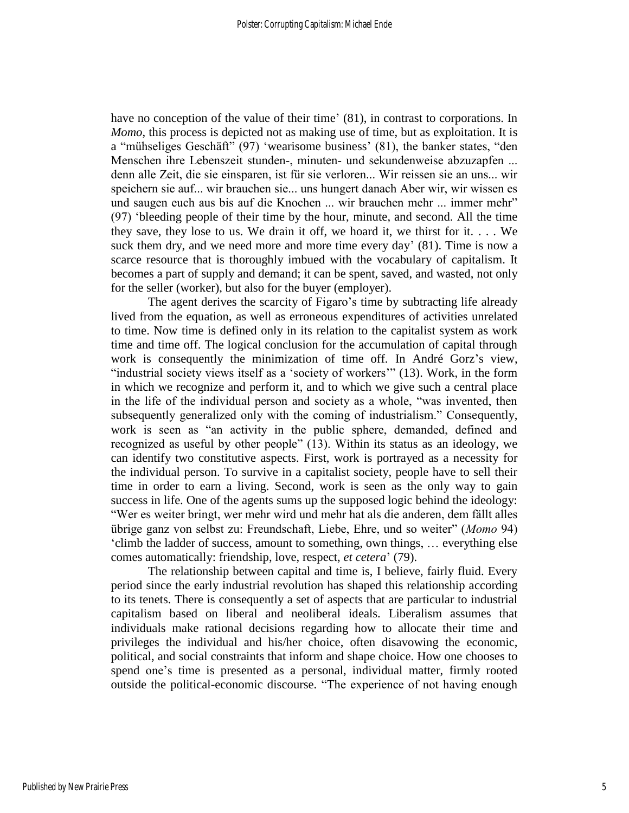have no conception of the value of their time' (81), in contrast to corporations. In *Momo*, this process is depicted not as making use of time, but as exploitation. It is a "mühseliges Geschäft" (97) 'wearisome business' (81), the banker states, "den Menschen ihre Lebenszeit stunden-, minuten- und sekundenweise abzuzapfen ... denn alle Zeit, die sie einsparen, ist für sie verloren... Wir reissen sie an uns... wir speichern sie auf... wir brauchen sie... uns hungert danach Aber wir, wir wissen es und saugen euch aus bis auf die Knochen ... wir brauchen mehr ... immer mehr" (97) 'bleeding people of their time by the hour, minute, and second. All the time they save, they lose to us. We drain it off, we hoard it, we thirst for it. . . . We suck them dry, and we need more and more time every day' (81). Time is now a scarce resource that is thoroughly imbued with the vocabulary of capitalism. It becomes a part of supply and demand; it can be spent, saved, and wasted, not only for the seller (worker), but also for the buyer (employer).

The agent derives the scarcity of Figaro's time by subtracting life already lived from the equation, as well as erroneous expenditures of activities unrelated to time. Now time is defined only in its relation to the capitalist system as work time and time off. The logical conclusion for the accumulation of capital through work is consequently the minimization of time off. In André Gorz's view, "industrial society views itself as a 'society of workers'" (13). Work, in the form in which we recognize and perform it, and to which we give such a central place in the life of the individual person and society as a whole, "was invented, then subsequently generalized only with the coming of industrialism." Consequently, work is seen as "an activity in the public sphere, demanded, defined and recognized as useful by other people" (13). Within its status as an ideology, we can identify two constitutive aspects. First, work is portrayed as a necessity for the individual person. To survive in a capitalist society, people have to sell their time in order to earn a living. Second, work is seen as the only way to gain success in life. One of the agents sums up the supposed logic behind the ideology: "Wer es weiter bringt, wer mehr wird und mehr hat als die anderen, dem fällt alles übrige ganz von selbst zu: Freundschaft, Liebe, Ehre, und so weiter" (*Momo* 94) 'climb the ladder of success, amount to something, own things, … everything else comes automatically: friendship, love, respect, *et cetera*' (79).

The relationship between capital and time is, I believe, fairly fluid. Every period since the early industrial revolution has shaped this relationship according to its tenets. There is consequently a set of aspects that are particular to industrial capitalism based on liberal and neoliberal ideals. Liberalism assumes that individuals make rational decisions regarding how to allocate their time and privileges the individual and his/her choice, often disavowing the economic, political, and social constraints that inform and shape choice. How one chooses to spend one's time is presented as a personal, individual matter, firmly rooted outside the political-economic discourse. "The experience of not having enough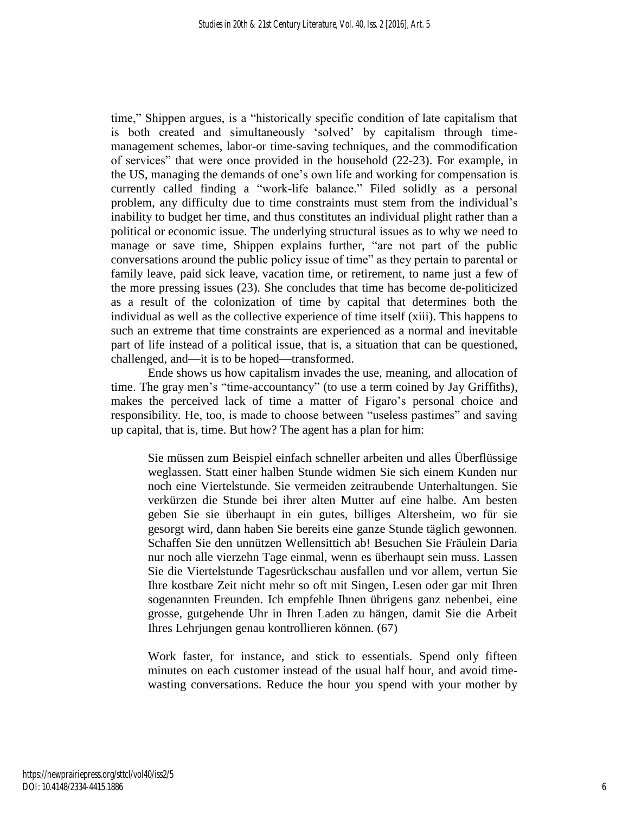time," Shippen argues, is a "historically specific condition of late capitalism that is both created and simultaneously 'solved' by capitalism through timemanagement schemes, labor-or time-saving techniques, and the commodification of services" that were once provided in the household (22-23). For example, in the US, managing the demands of one's own life and working for compensation is currently called finding a "work-life balance." Filed solidly as a personal problem, any difficulty due to time constraints must stem from the individual's inability to budget her time, and thus constitutes an individual plight rather than a political or economic issue. The underlying structural issues as to why we need to manage or save time, Shippen explains further, "are not part of the public conversations around the public policy issue of time" as they pertain to parental or family leave, paid sick leave, vacation time, or retirement, to name just a few of the more pressing issues (23). She concludes that time has become de-politicized as a result of the colonization of time by capital that determines both the individual as well as the collective experience of time itself (xiii). This happens to such an extreme that time constraints are experienced as a normal and inevitable part of life instead of a political issue, that is, a situation that can be questioned, challenged, and—it is to be hoped—transformed.

Ende shows us how capitalism invades the use, meaning, and allocation of time. The gray men's "time-accountancy" (to use a term coined by Jay Griffiths), makes the perceived lack of time a matter of Figaro's personal choice and responsibility. He, too, is made to choose between "useless pastimes" and saving up capital, that is, time. But how? The agent has a plan for him:

Sie müssen zum Beispiel einfach schneller arbeiten und alles Überflüssige weglassen. Statt einer halben Stunde widmen Sie sich einem Kunden nur noch eine Viertelstunde. Sie vermeiden zeitraubende Unterhaltungen. Sie verkürzen die Stunde bei ihrer alten Mutter auf eine halbe. Am besten geben Sie sie überhaupt in ein gutes, billiges Altersheim, wo für sie gesorgt wird, dann haben Sie bereits eine ganze Stunde täglich gewonnen. Schaffen Sie den unnützen Wellensittich ab! Besuchen Sie Fräulein Daria nur noch alle vierzehn Tage einmal, wenn es überhaupt sein muss. Lassen Sie die Viertelstunde Tagesrückschau ausfallen und vor allem, vertun Sie Ihre kostbare Zeit nicht mehr so oft mit Singen, Lesen oder gar mit Ihren sogenannten Freunden. Ich empfehle Ihnen übrigens ganz nebenbei, eine grosse, gutgehende Uhr in Ihren Laden zu hängen, damit Sie die Arbeit Ihres Lehrjungen genau kontrollieren können. (67)

Work faster, for instance, and stick to essentials. Spend only fifteen minutes on each customer instead of the usual half hour, and avoid timewasting conversations. Reduce the hour you spend with your mother by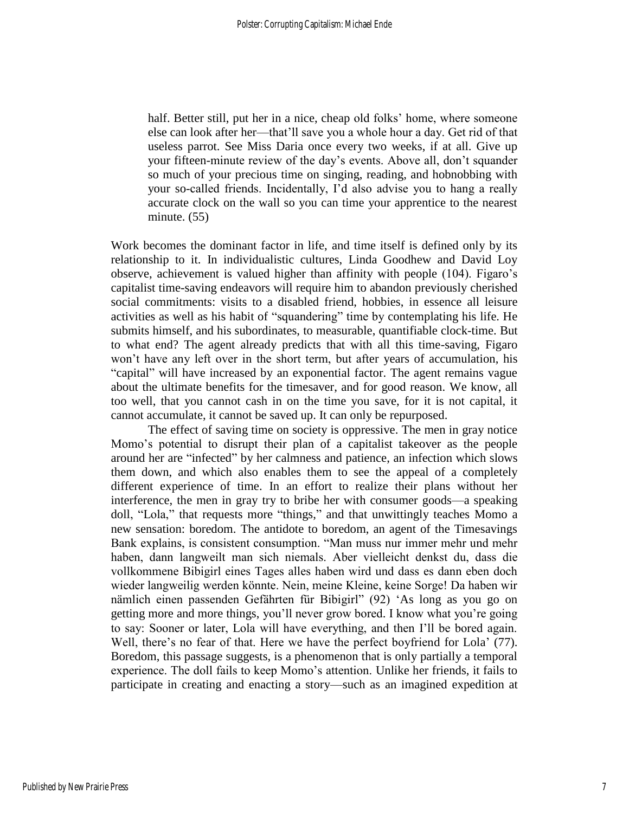half. Better still, put her in a nice, cheap old folks' home, where someone else can look after her—that'll save you a whole hour a day. Get rid of that useless parrot. See Miss Daria once every two weeks, if at all. Give up your fifteen-minute review of the day's events. Above all, don't squander so much of your precious time on singing, reading, and hobnobbing with your so-called friends. Incidentally, I'd also advise you to hang a really accurate clock on the wall so you can time your apprentice to the nearest minute. (55)

Work becomes the dominant factor in life, and time itself is defined only by its relationship to it. In individualistic cultures, Linda Goodhew and David Loy observe, achievement is valued higher than affinity with people (104). Figaro's capitalist time-saving endeavors will require him to abandon previously cherished social commitments: visits to a disabled friend, hobbies, in essence all leisure activities as well as his habit of "squandering" time by contemplating his life. He submits himself, and his subordinates, to measurable, quantifiable clock-time. But to what end? The agent already predicts that with all this time-saving, Figaro won't have any left over in the short term, but after years of accumulation, his "capital" will have increased by an exponential factor. The agent remains vague about the ultimate benefits for the timesaver, and for good reason. We know, all too well, that you cannot cash in on the time you save, for it is not capital, it cannot accumulate, it cannot be saved up. It can only be repurposed.

The effect of saving time on society is oppressive. The men in gray notice Momo's potential to disrupt their plan of a capitalist takeover as the people around her are "infected" by her calmness and patience, an infection which slows them down, and which also enables them to see the appeal of a completely different experience of time. In an effort to realize their plans without her interference, the men in gray try to bribe her with consumer goods—a speaking doll, "Lola," that requests more "things," and that unwittingly teaches Momo a new sensation: boredom. The antidote to boredom, an agent of the Timesavings Bank explains, is consistent consumption. "Man muss nur immer mehr und mehr haben, dann langweilt man sich niemals. Aber vielleicht denkst du, dass die vollkommene Bibigirl eines Tages alles haben wird und dass es dann eben doch wieder langweilig werden könnte. Nein, meine Kleine, keine Sorge! Da haben wir nämlich einen passenden Gefährten für Bibigirl" (92) 'As long as you go on getting more and more things, you'll never grow bored. I know what you're going to say: Sooner or later, Lola will have everything, and then I'll be bored again. Well, there's no fear of that. Here we have the perfect boyfriend for Lola' (77). Boredom, this passage suggests, is a phenomenon that is only partially a temporal experience. The doll fails to keep Momo's attention. Unlike her friends, it fails to participate in creating and enacting a story—such as an imagined expedition at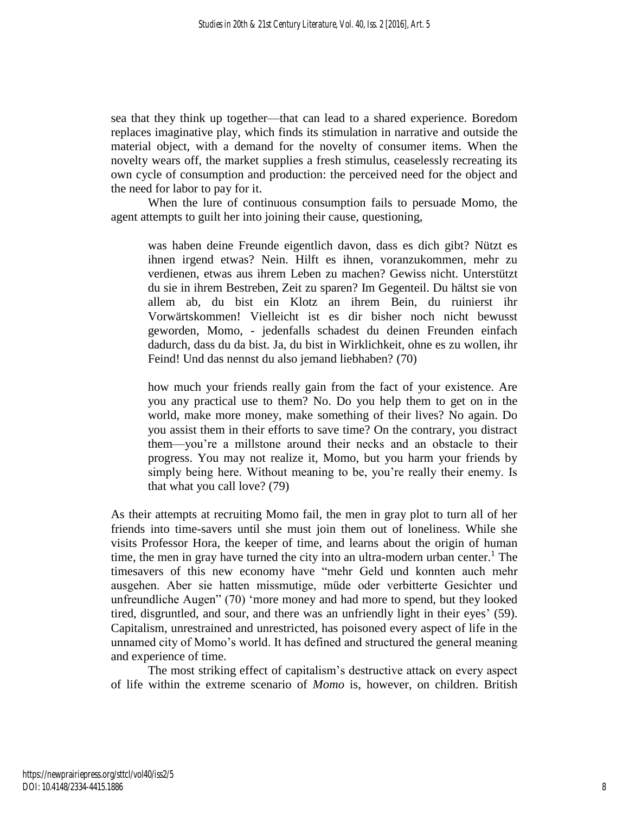sea that they think up together—that can lead to a shared experience. Boredom replaces imaginative play, which finds its stimulation in narrative and outside the material object, with a demand for the novelty of consumer items. When the novelty wears off, the market supplies a fresh stimulus, ceaselessly recreating its own cycle of consumption and production: the perceived need for the object and the need for labor to pay for it.

When the lure of continuous consumption fails to persuade Momo, the agent attempts to guilt her into joining their cause, questioning,

was haben deine Freunde eigentlich davon, dass es dich gibt? Nützt es ihnen irgend etwas? Nein. Hilft es ihnen, voranzukommen, mehr zu verdienen, etwas aus ihrem Leben zu machen? Gewiss nicht. Unterstützt du sie in ihrem Bestreben, Zeit zu sparen? Im Gegenteil. Du hältst sie von allem ab, du bist ein Klotz an ihrem Bein, du ruinierst ihr Vorwärtskommen! Vielleicht ist es dir bisher noch nicht bewusst geworden, Momo, - jedenfalls schadest du deinen Freunden einfach dadurch, dass du da bist. Ja, du bist in Wirklichkeit, ohne es zu wollen, ihr Feind! Und das nennst du also jemand liebhaben? (70)

how much your friends really gain from the fact of your existence. Are you any practical use to them? No. Do you help them to get on in the world, make more money, make something of their lives? No again. Do you assist them in their efforts to save time? On the contrary, you distract them—you're a millstone around their necks and an obstacle to their progress. You may not realize it, Momo, but you harm your friends by simply being here. Without meaning to be, you're really their enemy. Is that what you call love? (79)

As their attempts at recruiting Momo fail, the men in gray plot to turn all of her friends into time-savers until she must join them out of loneliness. While she visits Professor Hora, the keeper of time, and learns about the origin of human time, the men in gray have turned the city into an ultra-modern urban center.<sup>1</sup> The timesavers of this new economy have "mehr Geld und konnten auch mehr ausgehen. Aber sie hatten missmutige, müde oder verbitterte Gesichter und unfreundliche Augen" (70) 'more money and had more to spend, but they looked tired, disgruntled, and sour, and there was an unfriendly light in their eyes' (59). Capitalism, unrestrained and unrestricted, has poisoned every aspect of life in the unnamed city of Momo's world. It has defined and structured the general meaning and experience of time.

The most striking effect of capitalism's destructive attack on every aspect of life within the extreme scenario of *Momo* is, however, on children. British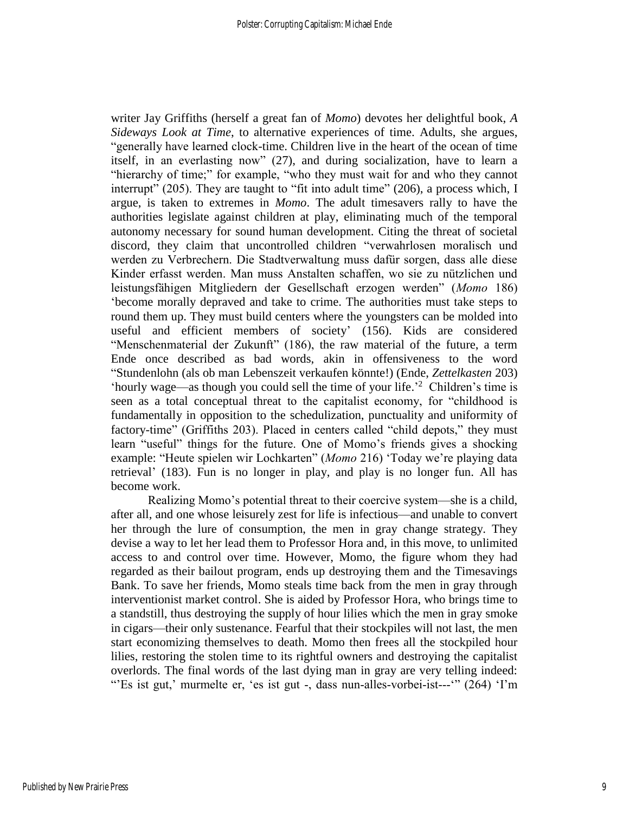writer Jay Griffiths (herself a great fan of *Momo*) devotes her delightful book, *A Sideways Look at Time*, to alternative experiences of time. Adults, she argues, "generally have learned clock-time. Children live in the heart of the ocean of time itself, in an everlasting now" (27), and during socialization, have to learn a "hierarchy of time;" for example, "who they must wait for and who they cannot interrupt" (205). They are taught to "fit into adult time" (206), a process which, I argue, is taken to extremes in *Momo*. The adult timesavers rally to have the authorities legislate against children at play, eliminating much of the temporal autonomy necessary for sound human development. Citing the threat of societal discord, they claim that uncontrolled children "verwahrlosen moralisch und werden zu Verbrechern. Die Stadtverwaltung muss dafür sorgen, dass alle diese Kinder erfasst werden. Man muss Anstalten schaffen, wo sie zu nützlichen und leistungsfähigen Mitgliedern der Gesellschaft erzogen werden" (*Momo* 186) 'become morally depraved and take to crime. The authorities must take steps to round them up. They must build centers where the youngsters can be molded into useful and efficient members of society' (156). Kids are considered "Menschenmaterial der Zukunft" (186), the raw material of the future, a term Ende once described as bad words, akin in offensiveness to the word "Stundenlohn (als ob man Lebenszeit verkaufen könnte!) (Ende, *Zettelkasten* 203) 'hourly wage—as though you could sell the time of your life.' <sup>2</sup> Children's time is seen as a total conceptual threat to the capitalist economy, for "childhood is fundamentally in opposition to the schedulization, punctuality and uniformity of factory-time" (Griffiths 203). Placed in centers called "child depots," they must learn "useful" things for the future. One of Momo's friends gives a shocking example: "Heute spielen wir Lochkarten" (*Momo* 216) 'Today we're playing data retrieval' (183). Fun is no longer in play, and play is no longer fun. All has become work.

Realizing Momo's potential threat to their coercive system—she is a child, after all, and one whose leisurely zest for life is infectious—and unable to convert her through the lure of consumption, the men in gray change strategy. They devise a way to let her lead them to Professor Hora and, in this move, to unlimited access to and control over time. However, Momo, the figure whom they had regarded as their bailout program, ends up destroying them and the Timesavings Bank. To save her friends, Momo steals time back from the men in gray through interventionist market control. She is aided by Professor Hora, who brings time to a standstill, thus destroying the supply of hour lilies which the men in gray smoke in cigars—their only sustenance. Fearful that their stockpiles will not last, the men start economizing themselves to death. Momo then frees all the stockpiled hour lilies, restoring the stolen time to its rightful owners and destroying the capitalist overlords. The final words of the last dying man in gray are very telling indeed: "'Es ist gut,' murmelte er, 'es ist gut -, dass nun-alles-vorbei-ist---'" (264) 'I'm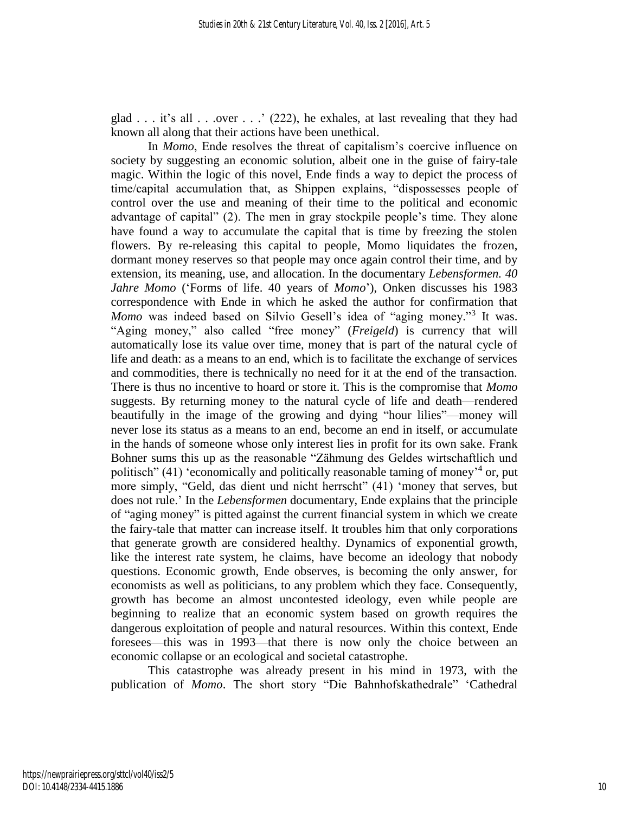glad  $\ldots$  it's all  $\ldots$  over  $\ldots$  (222), he exhales, at last revealing that they had known all along that their actions have been unethical.

In *Momo*, Ende resolves the threat of capitalism's coercive influence on society by suggesting an economic solution, albeit one in the guise of fairy-tale magic. Within the logic of this novel, Ende finds a way to depict the process of time/capital accumulation that, as Shippen explains, "dispossesses people of control over the use and meaning of their time to the political and economic advantage of capital" (2). The men in gray stockpile people's time. They alone have found a way to accumulate the capital that is time by freezing the stolen flowers. By re-releasing this capital to people, Momo liquidates the frozen, dormant money reserves so that people may once again control their time, and by extension, its meaning, use, and allocation. In the documentary *Lebensformen. 40 Jahre Momo* ('Forms of life. 40 years of *Momo*'), Onken discusses his 1983 correspondence with Ende in which he asked the author for confirmation that *Momo* was indeed based on Silvio Gesell's idea of "aging money."<sup>3</sup> It was. "Aging money," also called "free money" (*Freigeld*) is currency that will automatically lose its value over time, money that is part of the natural cycle of life and death: as a means to an end, which is to facilitate the exchange of services and commodities, there is technically no need for it at the end of the transaction. There is thus no incentive to hoard or store it. This is the compromise that *Momo* suggests. By returning money to the natural cycle of life and death—rendered beautifully in the image of the growing and dying "hour lilies"—money will never lose its status as a means to an end, become an end in itself, or accumulate in the hands of someone whose only interest lies in profit for its own sake. Frank Bohner sums this up as the reasonable "Zähmung des Geldes wirtschaftlich und politisch" (41) 'economically and politically reasonable taming of money<sup>14</sup> or, put more simply, "Geld, das dient und nicht herrscht" (41) 'money that serves, but does not rule.' In the *Lebensformen* documentary, Ende explains that the principle of "aging money" is pitted against the current financial system in which we create the fairy-tale that matter can increase itself. It troubles him that only corporations that generate growth are considered healthy. Dynamics of exponential growth, like the interest rate system, he claims, have become an ideology that nobody questions. Economic growth, Ende observes, is becoming the only answer, for economists as well as politicians, to any problem which they face. Consequently, growth has become an almost uncontested ideology, even while people are beginning to realize that an economic system based on growth requires the dangerous exploitation of people and natural resources. Within this context, Ende foresees—this was in 1993—that there is now only the choice between an economic collapse or an ecological and societal catastrophe.

This catastrophe was already present in his mind in 1973, with the publication of *Momo*. The short story "Die Bahnhofskathedrale" 'Cathedral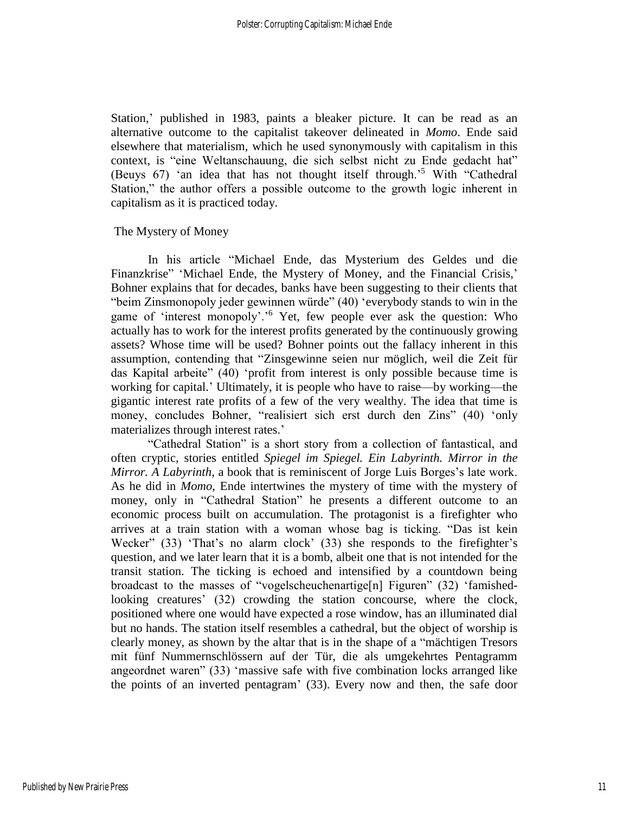Station,' published in 1983, paints a bleaker picture. It can be read as an alternative outcome to the capitalist takeover delineated in *Momo*. Ende said elsewhere that materialism, which he used synonymously with capitalism in this context, is "eine Weltanschauung, die sich selbst nicht zu Ende gedacht hat" (Beuys 67) 'an idea that has not thought itself through.'<sup>5</sup> With "Cathedral Station," the author offers a possible outcome to the growth logic inherent in capitalism as it is practiced today.

#### The Mystery of Money

In his article "Michael Ende, das Mysterium des Geldes und die Finanzkrise" 'Michael Ende, the Mystery of Money, and the Financial Crisis,' Bohner explains that for decades, banks have been suggesting to their clients that "beim Zinsmonopoly jeder gewinnen würde" (40) 'everybody stands to win in the game of 'interest monopoly'.' <sup>6</sup> Yet, few people ever ask the question: Who actually has to work for the interest profits generated by the continuously growing assets? Whose time will be used? Bohner points out the fallacy inherent in this assumption, contending that "Zinsgewinne seien nur möglich, weil die Zeit für das Kapital arbeite" (40) 'profit from interest is only possible because time is working for capital.' Ultimately, it is people who have to raise—by working—the gigantic interest rate profits of a few of the very wealthy. The idea that time is money, concludes Bohner, "realisiert sich erst durch den Zins" (40) 'only materializes through interest rates.'

"Cathedral Station" is a short story from a collection of fantastical, and often cryptic, stories entitled *Spiegel im Spiegel. Ein Labyrinth. Mirror in the Mirror. A Labyrinth*, a book that is reminiscent of Jorge Luis Borges's late work. As he did in *Momo*, Ende intertwines the mystery of time with the mystery of money, only in "Cathedral Station" he presents a different outcome to an economic process built on accumulation. The protagonist is a firefighter who arrives at a train station with a woman whose bag is ticking. "Das ist kein Wecker" (33) 'That's no alarm clock' (33) she responds to the firefighter's question, and we later learn that it is a bomb, albeit one that is not intended for the transit station. The ticking is echoed and intensified by a countdown being broadcast to the masses of "vogelscheuchenartige[n] Figuren" (32) 'famishedlooking creatures' (32) crowding the station concourse, where the clock, positioned where one would have expected a rose window, has an illuminated dial but no hands. The station itself resembles a cathedral, but the object of worship is clearly money, as shown by the altar that is in the shape of a "mächtigen Tresors mit fünf Nummernschlössern auf der Tür, die als umgekehrtes Pentagramm angeordnet waren" (33) 'massive safe with five combination locks arranged like the points of an inverted pentagram' (33). Every now and then, the safe door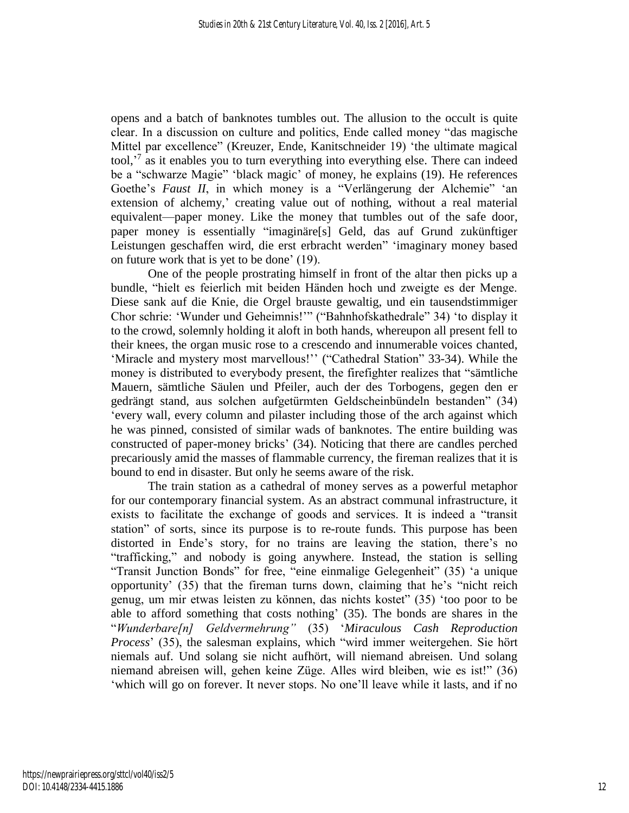opens and a batch of banknotes tumbles out. The allusion to the occult is quite clear. In a discussion on culture and politics, Ende called money "das magische Mittel par excellence" (Kreuzer, Ende, Kanitschneider 19) 'the ultimate magical tool,<sup>'7</sup> as it enables you to turn everything into everything else. There can indeed be a "schwarze Magie" 'black magic' of money, he explains (19). He references Goethe's *Faust II*, in which money is a "Verlängerung der Alchemie" 'an extension of alchemy,' creating value out of nothing, without a real material equivalent—paper money. Like the money that tumbles out of the safe door, paper money is essentially "imaginäre[s] Geld, das auf Grund zukünftiger Leistungen geschaffen wird, die erst erbracht werden" 'imaginary money based on future work that is yet to be done' (19).

One of the people prostrating himself in front of the altar then picks up a bundle, "hielt es feierlich mit beiden Händen hoch und zweigte es der Menge. Diese sank auf die Knie, die Orgel brauste gewaltig, und ein tausendstimmiger Chor schrie: 'Wunder und Geheimnis!'" ("Bahnhofskathedrale" 34) 'to display it to the crowd, solemnly holding it aloft in both hands, whereupon all present fell to their knees, the organ music rose to a crescendo and innumerable voices chanted, 'Miracle and mystery most marvellous!'' ("Cathedral Station" 33-34). While the money is distributed to everybody present, the firefighter realizes that "sämtliche Mauern, sämtliche Säulen und Pfeiler, auch der des Torbogens, gegen den er gedrängt stand, aus solchen aufgetürmten Geldscheinbündeln bestanden" (34) 'every wall, every column and pilaster including those of the arch against which he was pinned, consisted of similar wads of banknotes. The entire building was constructed of paper-money bricks' (34). Noticing that there are candles perched precariously amid the masses of flammable currency, the fireman realizes that it is bound to end in disaster. But only he seems aware of the risk.

The train station as a cathedral of money serves as a powerful metaphor for our contemporary financial system. As an abstract communal infrastructure, it exists to facilitate the exchange of goods and services. It is indeed a "transit station" of sorts, since its purpose is to re-route funds. This purpose has been distorted in Ende's story, for no trains are leaving the station, there's no "trafficking," and nobody is going anywhere. Instead, the station is selling "Transit Junction Bonds" for free, "eine einmalige Gelegenheit" (35) 'a unique opportunity' (35) that the fireman turns down, claiming that he's "nicht reich genug, um mir etwas leisten zu können, das nichts kostet" (35) 'too poor to be able to afford something that costs nothing' (35). The bonds are shares in the "*Wunderbare[n] Geldvermehrung"* (35) '*Miraculous Cash Reproduction Process*' (35), the salesman explains, which "wird immer weitergehen. Sie hört niemals auf. Und solang sie nicht aufhört, will niemand abreisen. Und solang niemand abreisen will, gehen keine Züge. Alles wird bleiben, wie es ist!" (36) 'which will go on forever. It never stops. No one'll leave while it lasts, and if no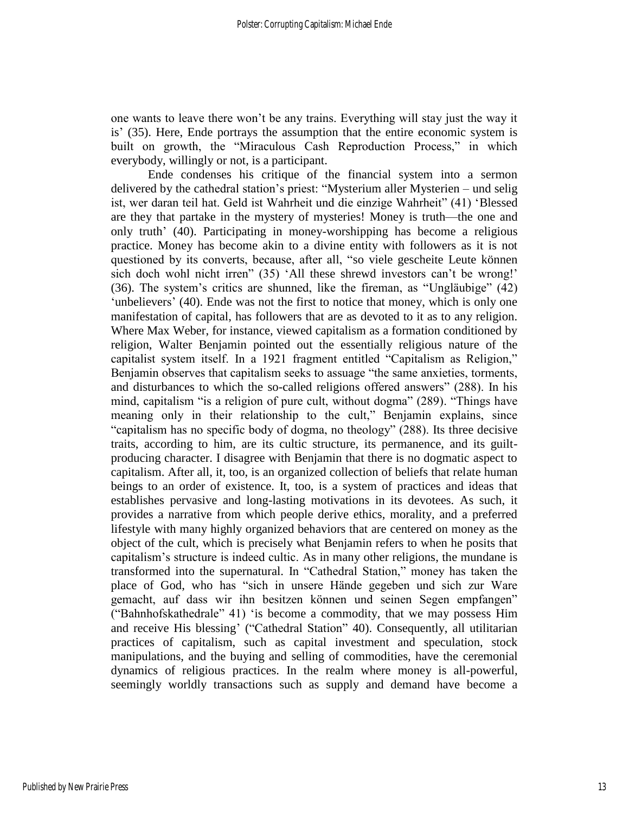one wants to leave there won't be any trains. Everything will stay just the way it is' (35). Here, Ende portrays the assumption that the entire economic system is built on growth, the "Miraculous Cash Reproduction Process," in which everybody, willingly or not, is a participant.

Ende condenses his critique of the financial system into a sermon delivered by the cathedral station's priest: "Mysterium aller Mysterien – und selig ist, wer daran teil hat. Geld ist Wahrheit und die einzige Wahrheit" (41) 'Blessed are they that partake in the mystery of mysteries! Money is truth—the one and only truth' (40). Participating in money-worshipping has become a religious practice. Money has become akin to a divine entity with followers as it is not questioned by its converts, because, after all, "so viele gescheite Leute können sich doch wohl nicht irren" (35) 'All these shrewd investors can't be wrong!' (36). The system's critics are shunned, like the fireman, as "Ungläubige" (42) 'unbelievers' (40). Ende was not the first to notice that money, which is only one manifestation of capital, has followers that are as devoted to it as to any religion. Where Max Weber, for instance, viewed capitalism as a formation conditioned by religion, Walter Benjamin pointed out the essentially religious nature of the capitalist system itself. In a 1921 fragment entitled "Capitalism as Religion," Benjamin observes that capitalism seeks to assuage "the same anxieties, torments, and disturbances to which the so-called religions offered answers" (288). In his mind, capitalism "is a religion of pure cult, without dogma" (289). "Things have meaning only in their relationship to the cult," Benjamin explains, since "capitalism has no specific body of dogma, no theology" (288). Its three decisive traits, according to him, are its cultic structure, its permanence, and its guiltproducing character. I disagree with Benjamin that there is no dogmatic aspect to capitalism. After all, it, too, is an organized collection of beliefs that relate human beings to an order of existence. It, too, is a system of practices and ideas that establishes pervasive and long-lasting motivations in its devotees. As such, it provides a narrative from which people derive ethics, morality, and a preferred lifestyle with many highly organized behaviors that are centered on money as the object of the cult, which is precisely what Benjamin refers to when he posits that capitalism's structure is indeed cultic. As in many other religions, the mundane is transformed into the supernatural. In "Cathedral Station," money has taken the place of God, who has "sich in unsere Hände gegeben und sich zur Ware gemacht, auf dass wir ihn besitzen können und seinen Segen empfangen" ("Bahnhofskathedrale" 41) 'is become a commodity, that we may possess Him and receive His blessing' ("Cathedral Station" 40). Consequently, all utilitarian practices of capitalism, such as capital investment and speculation, stock manipulations, and the buying and selling of commodities, have the ceremonial dynamics of religious practices. In the realm where money is all-powerful, seemingly worldly transactions such as supply and demand have become a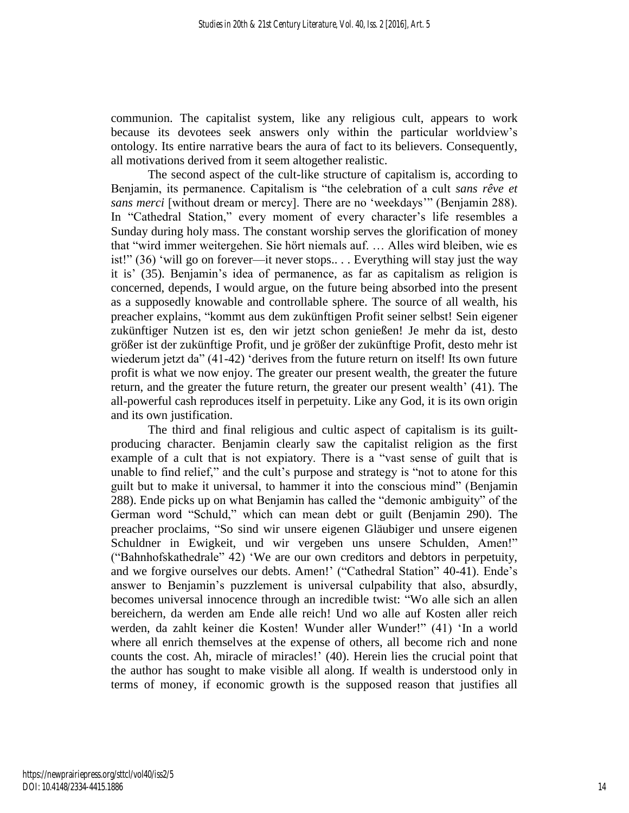communion. The capitalist system, like any religious cult, appears to work because its devotees seek answers only within the particular worldview's ontology. Its entire narrative bears the aura of fact to its believers. Consequently, all motivations derived from it seem altogether realistic.

The second aspect of the cult-like structure of capitalism is, according to Benjamin, its permanence. Capitalism is "the celebration of a cult *sans rêve et sans merci* [without dream or mercy]. There are no 'weekdays'" (Benjamin 288). In "Cathedral Station," every moment of every character's life resembles a Sunday during holy mass. The constant worship serves the glorification of money that "wird immer weitergehen. Sie hört niemals auf. … Alles wird bleiben, wie es ist!" (36) 'will go on forever—it never stops.. . . Everything will stay just the way it is' (35). Benjamin's idea of permanence, as far as capitalism as religion is concerned, depends, I would argue, on the future being absorbed into the present as a supposedly knowable and controllable sphere. The source of all wealth, his preacher explains, "kommt aus dem zukünftigen Profit seiner selbst! Sein eigener zukünftiger Nutzen ist es, den wir jetzt schon genießen! Je mehr da ist, desto größer ist der zukünftige Profit, und je größer der zukünftige Profit, desto mehr ist wiederum jetzt da" (41-42) 'derives from the future return on itself! Its own future profit is what we now enjoy. The greater our present wealth, the greater the future return, and the greater the future return, the greater our present wealth' (41). The all-powerful cash reproduces itself in perpetuity. Like any God, it is its own origin and its own justification.

The third and final religious and cultic aspect of capitalism is its guiltproducing character. Benjamin clearly saw the capitalist religion as the first example of a cult that is not expiatory. There is a "vast sense of guilt that is unable to find relief," and the cult's purpose and strategy is "not to atone for this guilt but to make it universal, to hammer it into the conscious mind" (Benjamin 288). Ende picks up on what Benjamin has called the "demonic ambiguity" of the German word "Schuld," which can mean debt or guilt (Benjamin 290). The preacher proclaims, "So sind wir unsere eigenen Gläubiger und unsere eigenen Schuldner in Ewigkeit, und wir vergeben uns unsere Schulden, Amen!" ("Bahnhofskathedrale" 42) 'We are our own creditors and debtors in perpetuity, and we forgive ourselves our debts. Amen!' ("Cathedral Station" 40-41). Ende's answer to Benjamin's puzzlement is universal culpability that also, absurdly, becomes universal innocence through an incredible twist: "Wo alle sich an allen bereichern, da werden am Ende alle reich! Und wo alle auf Kosten aller reich werden, da zahlt keiner die Kosten! Wunder aller Wunder!" (41) 'In a world where all enrich themselves at the expense of others, all become rich and none counts the cost. Ah, miracle of miracles!' (40). Herein lies the crucial point that the author has sought to make visible all along. If wealth is understood only in terms of money, if economic growth is the supposed reason that justifies all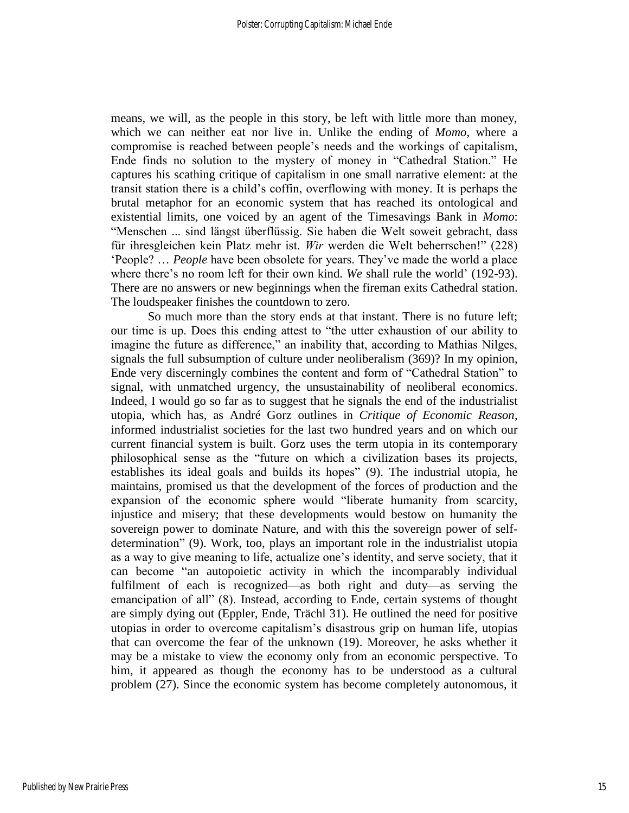means, we will, as the people in this story, be left with little more than money, which we can neither eat nor live in. Unlike the ending of *Momo*, where a compromise is reached between people's needs and the workings of capitalism, Ende finds no solution to the mystery of money in "Cathedral Station." He captures his scathing critique of capitalism in one small narrative element: at the transit station there is a child's coffin, overflowing with money. It is perhaps the brutal metaphor for an economic system that has reached its ontological and existential limits, one voiced by an agent of the Timesavings Bank in *Momo*: "Menschen ... sind längst überflüssig. Sie haben die Welt soweit gebracht, dass für ihresgleichen kein Platz mehr ist. *Wir* werden die Welt beherrschen!" (228) 'People? … *People* have been obsolete for years. They've made the world a place where there's no room left for their own kind. *We* shall rule the world' (192-93). There are no answers or new beginnings when the fireman exits Cathedral station. The loudspeaker finishes the countdown to zero.

So much more than the story ends at that instant. There is no future left; our time is up. Does this ending attest to "the utter exhaustion of our ability to imagine the future as difference," an inability that, according to Mathias Nilges, signals the full subsumption of culture under neoliberalism (369)? In my opinion, Ende very discerningly combines the content and form of "Cathedral Station" to signal, with unmatched urgency, the unsustainability of neoliberal economics. Indeed, I would go so far as to suggest that he signals the end of the industrialist utopia, which has, as André Gorz outlines in *Critique of Economic Reason*, informed industrialist societies for the last two hundred years and on which our current financial system is built. Gorz uses the term utopia in its contemporary philosophical sense as the "future on which a civilization bases its projects, establishes its ideal goals and builds its hopes" (9). The industrial utopia, he maintains, promised us that the development of the forces of production and the expansion of the economic sphere would "liberate humanity from scarcity, injustice and misery; that these developments would bestow on humanity the sovereign power to dominate Nature, and with this the sovereign power of selfdetermination" (9). Work, too, plays an important role in the industrialist utopia as a way to give meaning to life, actualize one's identity, and serve society, that it can become "an autopoietic activity in which the incomparably individual fulfilment of each is recognized—as both right and duty—as serving the emancipation of all" (8). Instead, according to Ende, certain systems of thought are simply dying out (Eppler, Ende, Trächl 31). He outlined the need for positive utopias in order to overcome capitalism's disastrous grip on human life, utopias that can overcome the fear of the unknown (19). Moreover, he asks whether it may be a mistake to view the economy only from an economic perspective. To him, it appeared as though the economy has to be understood as a cultural problem (27). Since the economic system has become completely autonomous, it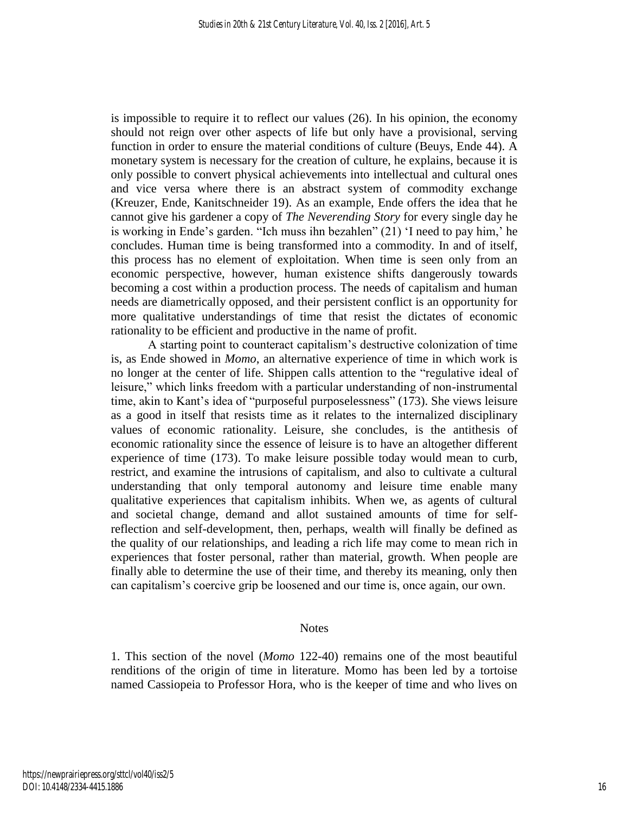is impossible to require it to reflect our values (26). In his opinion, the economy should not reign over other aspects of life but only have a provisional, serving function in order to ensure the material conditions of culture (Beuys, Ende 44). A monetary system is necessary for the creation of culture, he explains, because it is only possible to convert physical achievements into intellectual and cultural ones and vice versa where there is an abstract system of commodity exchange (Kreuzer, Ende, Kanitschneider 19). As an example, Ende offers the idea that he cannot give his gardener a copy of *The Neverending Story* for every single day he is working in Ende's garden. "Ich muss ihn bezahlen" (21) 'I need to pay him,' he concludes. Human time is being transformed into a commodity. In and of itself, this process has no element of exploitation. When time is seen only from an economic perspective, however, human existence shifts dangerously towards becoming a cost within a production process. The needs of capitalism and human needs are diametrically opposed, and their persistent conflict is an opportunity for more qualitative understandings of time that resist the dictates of economic rationality to be efficient and productive in the name of profit.

A starting point to counteract capitalism's destructive colonization of time is, as Ende showed in *Momo*, an alternative experience of time in which work is no longer at the center of life. Shippen calls attention to the "regulative ideal of leisure," which links freedom with a particular understanding of non-instrumental time, akin to Kant's idea of "purposeful purposelessness" (173). She views leisure as a good in itself that resists time as it relates to the internalized disciplinary values of economic rationality. Leisure, she concludes, is the antithesis of economic rationality since the essence of leisure is to have an altogether different experience of time (173). To make leisure possible today would mean to curb, restrict, and examine the intrusions of capitalism, and also to cultivate a cultural understanding that only temporal autonomy and leisure time enable many qualitative experiences that capitalism inhibits. When we, as agents of cultural and societal change, demand and allot sustained amounts of time for selfreflection and self-development, then, perhaps, wealth will finally be defined as the quality of our relationships, and leading a rich life may come to mean rich in experiences that foster personal, rather than material, growth. When people are finally able to determine the use of their time, and thereby its meaning, only then can capitalism's coercive grip be loosened and our time is, once again, our own.

#### **Notes**

1. This section of the novel (*Momo* 122-40) remains one of the most beautiful renditions of the origin of time in literature. Momo has been led by a tortoise named Cassiopeia to Professor Hora, who is the keeper of time and who lives on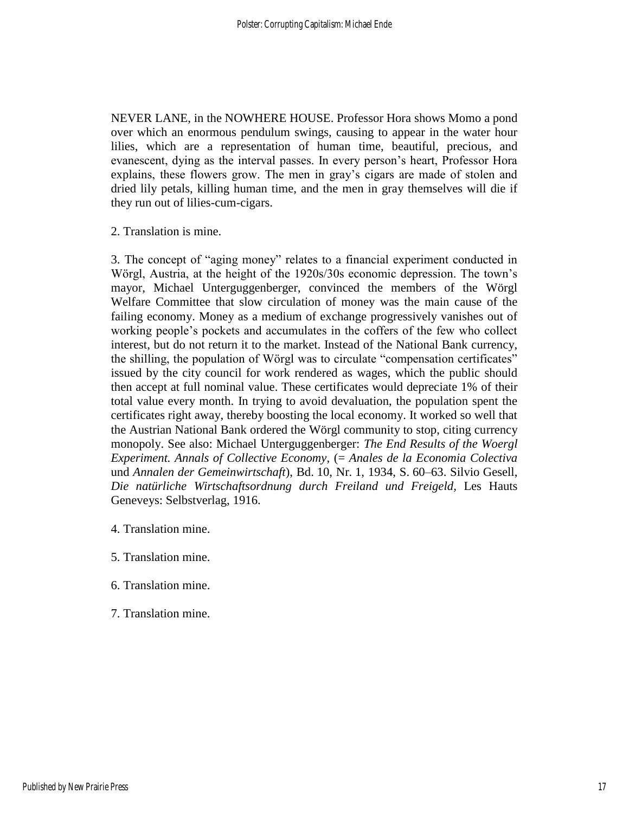NEVER LANE, in the NOWHERE HOUSE. Professor Hora shows Momo a pond over which an enormous pendulum swings, causing to appear in the water hour lilies, which are a representation of human time, beautiful, precious, and evanescent, dying as the interval passes. In every person's heart, Professor Hora explains, these flowers grow. The men in gray's cigars are made of stolen and dried lily petals, killing human time, and the men in gray themselves will die if they run out of lilies-cum-cigars.

2. Translation is mine.

3. The concept of "aging money" relates to a financial experiment conducted in Wörgl, Austria, at the height of the 1920s/30s economic depression. The town's mayor, Michael Unterguggenberger, convinced the members of the Wörgl Welfare Committee that slow circulation of money was the main cause of the failing economy. Money as a medium of exchange progressively vanishes out of working people's pockets and accumulates in the coffers of the few who collect interest, but do not return it to the market. Instead of the National Bank currency, the shilling, the population of Wörgl was to circulate "compensation certificates" issued by the city council for work rendered as wages, which the public should then accept at full nominal value. These certificates would depreciate 1% of their total value every month. In trying to avoid devaluation, the population spent the certificates right away, thereby boosting the local economy. It worked so well that the Austrian National Bank ordered the Wörgl community to stop, citing currency monopoly. See also: Michael Unterguggenberger: *The End Results of the Woergl Experiment. Annals of Collective Economy*, (= *Anales de la Economia Colectiva* und *Annalen der Gemeinwirtschaft*), Bd. 10, Nr. 1, 1934, S. 60–63. Silvio Gesell, *Die natürliche Wirtschaftsordnung durch Freiland und Freigeld,* Les Hauts Geneveys: Selbstverlag, 1916.

- 4. Translation mine.
- 5. Translation mine.
- 6. Translation mine.
- 7. Translation mine.